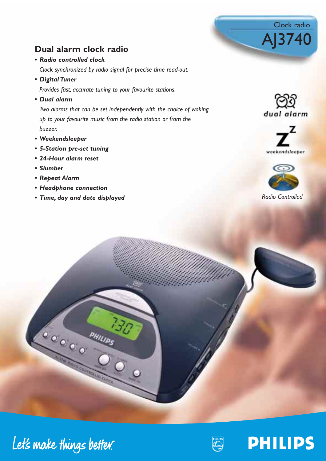# **Dual alarm clock radio**

*• Radio controlled clock*

*Clock synchronized by radio signal for precise time read-out.*

*• Digital Tuner* 

*Provides fast, accurate tuning to your favourite stations.*

*• Dual alarm*

*Two alarms that can be set independently with the choice of waking up to your favourite music from the radio station or from the buzzer.*

- *Weekendsleeper*
- *5-Station pre-set tuning*
- *24-Hour alarm reset*
- *Slumber*
- *Repeat Alarm*
- *Headphone connection*
- *Time, day and date displayed*



Clock radio

AJ3740





*Radio Controlled*



Let's make things better.